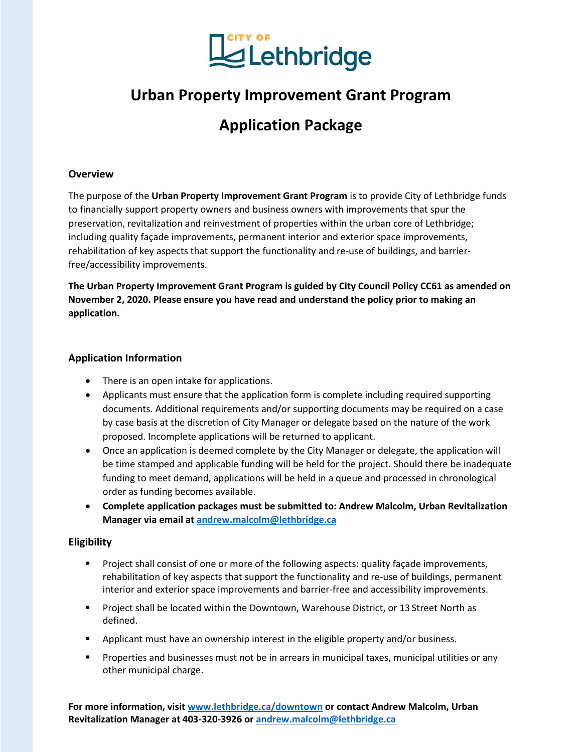

# **Urban Property Improvement Grant Program**

# **Application Package**

#### **Overview**

The purpose of the **Urban Property Improvement Grant Program** is to provide City of Lethbridge funds to financially support property owners and business owners with improvements that spur the preservation, revitalization and reinvestment of properties within the urban core of Lethbridge; including quality façade improvements, permanent interior and exterior space improvements, rehabilitation of key aspects that support the functionality and re-use of buildings, and barrierfree/accessibility improvements.

**The Urban Property Improvement Grant Program is guided by City Council Policy CC61 as amended on November 2, 2020. Please ensure you have read and understand the policy prior to making an application.**

#### **Application Information**

- There is an open intake for applications.
- Applicants must ensure that the application form is complete including required supporting documents. Additional requirements and/or supporting documents may be required on a case by case basis at the discretion of City Manager or delegate based on the nature of the work proposed. Incomplete applications will be returned to applicant.
- Once an application is deemed complete by the City Manager or delegate, the application will be time stamped and applicable funding will be held for the project. Should there be inadequate funding to meet demand, applications will be held in a queue and processed in chronological order as funding becomes available.
- **Complete application packages must be submitted to: Andrew Malcolm, Urban Revitalization Manager via email at [andrew.malcolm@lethbridge.ca](mailto:andrew.malcolm@lethbridge.ca)**

#### **Eligibility**

- **Project shall consist of one or more of the following aspects: quality façade improvements,** rehabilitation of key aspects that support the functionality and re-use of buildings, permanent interior and exterior space improvements and barrier-free and accessibility improvements.
- **Project shall be located within the Downtown, Warehouse District, or 13 Street North as** defined.
- Applicant must have an ownership interest in the eligible property and/or business.
- **Properties and businesses must not be in arrears in municipal taxes, municipal utilities or any** other municipal charge.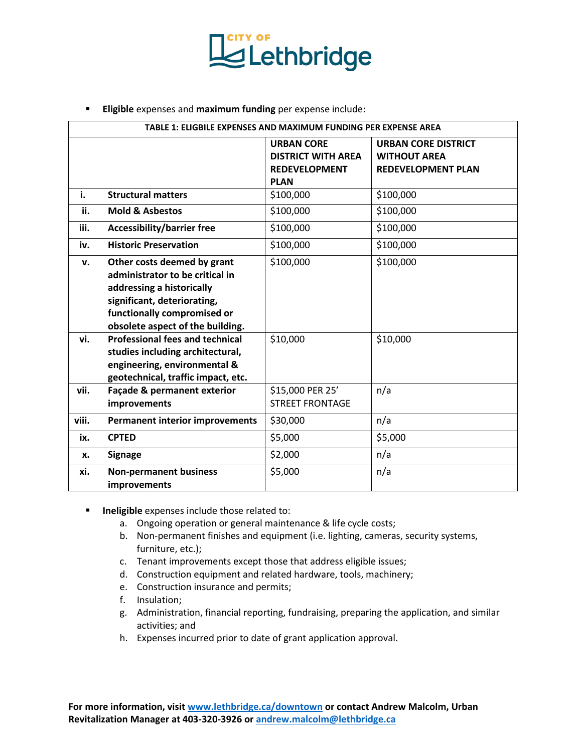

**Eligible** expenses and **maximum funding** per expense include:

| TABLE 1: ELIGBILE EXPENSES AND MAXIMUM FUNDING PER EXPENSE AREA |                                                                                                                                                                                               |                                                                                       |                                                                                |  |
|-----------------------------------------------------------------|-----------------------------------------------------------------------------------------------------------------------------------------------------------------------------------------------|---------------------------------------------------------------------------------------|--------------------------------------------------------------------------------|--|
|                                                                 |                                                                                                                                                                                               | <b>URBAN CORE</b><br><b>DISTRICT WITH AREA</b><br><b>REDEVELOPMENT</b><br><b>PLAN</b> | <b>URBAN CORE DISTRICT</b><br><b>WITHOUT AREA</b><br><b>REDEVELOPMENT PLAN</b> |  |
| i.                                                              | <b>Structural matters</b>                                                                                                                                                                     | \$100,000                                                                             | \$100,000                                                                      |  |
| ii.                                                             | <b>Mold &amp; Asbestos</b>                                                                                                                                                                    | \$100,000                                                                             | \$100,000                                                                      |  |
| iii.                                                            | <b>Accessibility/barrier free</b>                                                                                                                                                             | \$100,000                                                                             | \$100,000                                                                      |  |
| iv.                                                             | <b>Historic Preservation</b>                                                                                                                                                                  | \$100,000                                                                             | \$100,000                                                                      |  |
| v.                                                              | Other costs deemed by grant<br>administrator to be critical in<br>addressing a historically<br>significant, deteriorating,<br>functionally compromised or<br>obsolete aspect of the building. | \$100,000                                                                             | \$100,000                                                                      |  |
| vi.                                                             | <b>Professional fees and technical</b><br>studies including architectural,<br>engineering, environmental &<br>geotechnical, traffic impact, etc.                                              | \$10,000                                                                              | \$10,000                                                                       |  |
| vii.                                                            | Façade & permanent exterior<br>improvements                                                                                                                                                   | \$15,000 PER 25'<br><b>STREET FRONTAGE</b>                                            | n/a                                                                            |  |
| viii.                                                           | <b>Permanent interior improvements</b>                                                                                                                                                        | \$30,000                                                                              | n/a                                                                            |  |
| ix.                                                             | <b>CPTED</b>                                                                                                                                                                                  | \$5,000                                                                               | \$5,000                                                                        |  |
| x.                                                              | <b>Signage</b>                                                                                                                                                                                | \$2,000                                                                               | n/a                                                                            |  |
| xi.                                                             | <b>Non-permanent business</b><br>improvements                                                                                                                                                 | \$5,000                                                                               | n/a                                                                            |  |

- **Ineligible** expenses include those related to:
	- a. Ongoing operation or general maintenance & life cycle costs;
	- b. Non-permanent finishes and equipment (i.e. lighting, cameras, security systems, furniture, etc.);
	- c. Tenant improvements except those that address eligible issues;
	- d. Construction equipment and related hardware, tools, machinery;
	- e. Construction insurance and permits;
	- f. Insulation;
	- g. Administration, financial reporting, fundraising, preparing the application, and similar activities; and
	- h. Expenses incurred prior to date of grant application approval.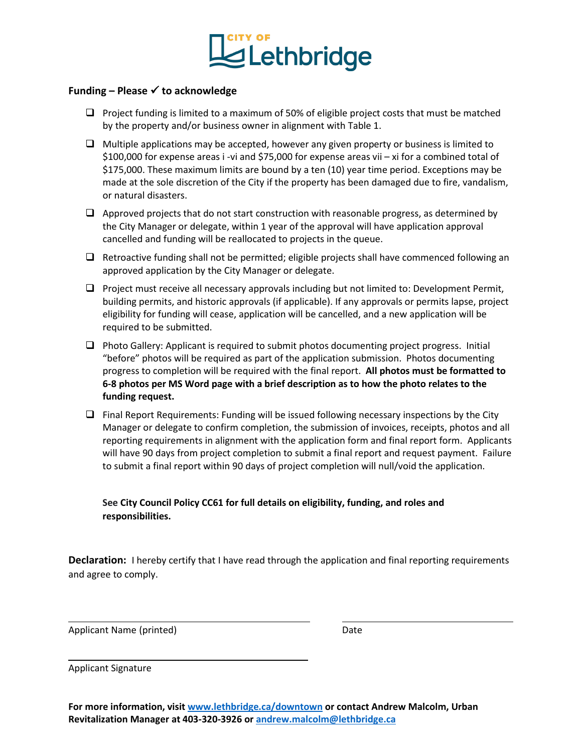

#### **Funding – Please to acknowledge**

- $\Box$  Project funding is limited to a maximum of 50% of eligible project costs that must be matched by the property and/or business owner in alignment with Table 1.
- $\Box$  Multiple applications may be accepted, however any given property or business is limited to \$100,000 for expense areas i -vi and \$75,000 for expense areas vii – xi for a combined total of \$175,000. These maximum limits are bound by a ten (10) year time period. Exceptions may be made at the sole discretion of the City if the property has been damaged due to fire, vandalism, or natural disasters.
- $\Box$  Approved projects that do not start construction with reasonable progress, as determined by the City Manager or delegate, within 1 year of the approval will have application approval cancelled and funding will be reallocated to projects in the queue.
- $\Box$  Retroactive funding shall not be permitted; eligible projects shall have commenced following an approved application by the City Manager or delegate.
- $\Box$  Project must receive all necessary approvals including but not limited to: Development Permit, building permits, and historic approvals (if applicable). If any approvals or permits lapse, project eligibility for funding will cease, application will be cancelled, and a new application will be required to be submitted.
- $\Box$  Photo Gallery: Applicant is required to submit photos documenting project progress. Initial "before" photos will be required as part of the application submission. Photos documenting progress to completion will be required with the final report. **All photos must be formatted to 6-8 photos per MS Word page with a brief description as to how the photo relates to the funding request.**
- $\Box$  Final Report Requirements: Funding will be issued following necessary inspections by the City Manager or delegate to confirm completion, the submission of invoices, receipts, photos and all reporting requirements in alignment with the application form and final report form. Applicants will have 90 days from project completion to submit a final report and request payment. Failure to submit a final report within 90 days of project completion will null/void the application.

#### **See City Council Policy CC61 for full details on eligibility, funding, and roles and responsibilities.**

**Declaration:** I hereby certify that I have read through the application and final reporting requirements and agree to comply.

Applicant Name (printed) and the control of the Date

Applicant Signature

 $\overline{a}$ 

L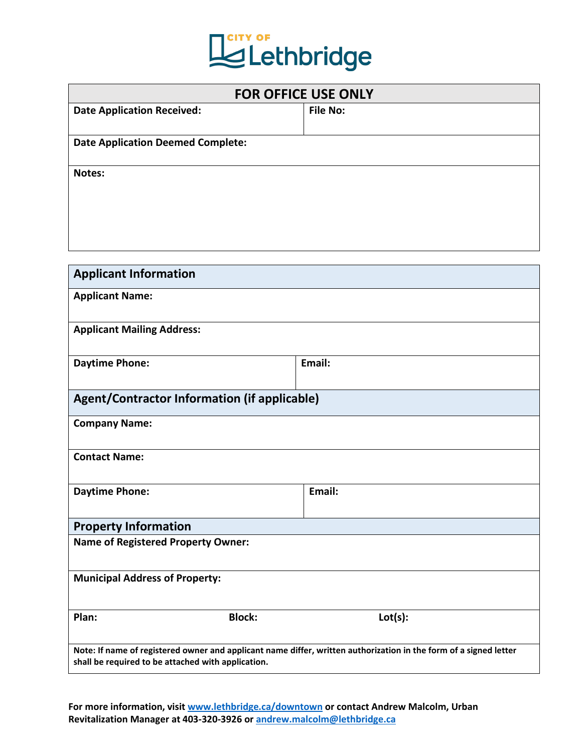

| <b>FOR OFFICE USE ONLY</b>               |                 |  |  |  |
|------------------------------------------|-----------------|--|--|--|
| <b>Date Application Received:</b>        | <b>File No:</b> |  |  |  |
| <b>Date Application Deemed Complete:</b> |                 |  |  |  |
| Notes:                                   |                 |  |  |  |
|                                          |                 |  |  |  |
|                                          |                 |  |  |  |

| <b>Applicant Information</b>                       |                                                                                                                   |  |
|----------------------------------------------------|-------------------------------------------------------------------------------------------------------------------|--|
| <b>Applicant Name:</b>                             |                                                                                                                   |  |
| <b>Applicant Mailing Address:</b>                  |                                                                                                                   |  |
| <b>Daytime Phone:</b>                              | Email:                                                                                                            |  |
| Agent/Contractor Information (if applicable)       |                                                                                                                   |  |
| <b>Company Name:</b>                               |                                                                                                                   |  |
| <b>Contact Name:</b>                               |                                                                                                                   |  |
| <b>Daytime Phone:</b>                              | Email:                                                                                                            |  |
| <b>Property Information</b>                        |                                                                                                                   |  |
| <b>Name of Registered Property Owner:</b>          |                                                                                                                   |  |
| <b>Municipal Address of Property:</b>              |                                                                                                                   |  |
| Plan:<br><b>Block:</b>                             | Lot(s):                                                                                                           |  |
| shall be required to be attached with application. | Note: If name of registered owner and applicant name differ, written authorization in the form of a signed letter |  |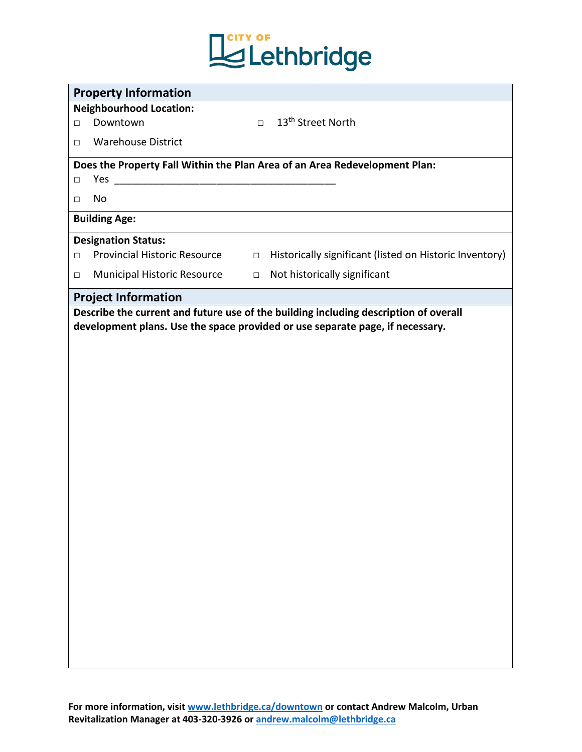

| <b>Property Information</b>                                                                                                                                           |  |  |  |  |
|-----------------------------------------------------------------------------------------------------------------------------------------------------------------------|--|--|--|--|
| <b>Neighbourhood Location:</b>                                                                                                                                        |  |  |  |  |
| 13 <sup>th</sup> Street North<br>Downtown<br>$\Box$<br>$\Box$                                                                                                         |  |  |  |  |
| <b>Warehouse District</b><br>$\Box$                                                                                                                                   |  |  |  |  |
| Does the Property Fall Within the Plan Area of an Area Redevelopment Plan:                                                                                            |  |  |  |  |
| Yes<br>$\Box$                                                                                                                                                         |  |  |  |  |
| No<br>$\Box$                                                                                                                                                          |  |  |  |  |
| <b>Building Age:</b>                                                                                                                                                  |  |  |  |  |
| <b>Designation Status:</b>                                                                                                                                            |  |  |  |  |
| <b>Provincial Historic Resource</b><br>Historically significant (listed on Historic Inventory)<br>$\Box$<br>$\Box$                                                    |  |  |  |  |
| Not historically significant<br>Municipal Historic Resource<br>$\Box$<br>$\Box$                                                                                       |  |  |  |  |
| <b>Project Information</b>                                                                                                                                            |  |  |  |  |
| Describe the current and future use of the building including description of overall<br>development plans. Use the space provided or use separate page, if necessary. |  |  |  |  |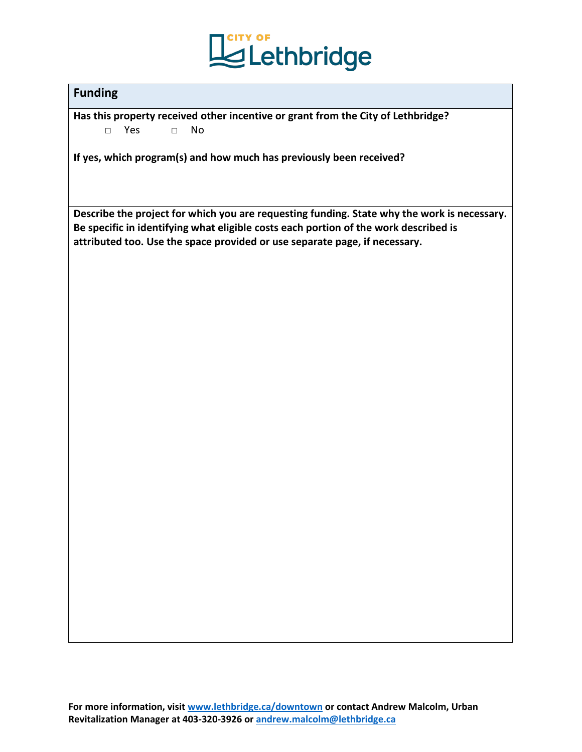

### **Funding**

**Has this property received other incentive or grant from the City of Lethbridge?** □ Yes □ No

**If yes, which program(s) and how much has previously been received?**

**Describe the project for which you are requesting funding. State why the work is necessary. Be specific in identifying what eligible costs each portion of the work described is attributed too. Use the space provided or use separate page, if necessary.**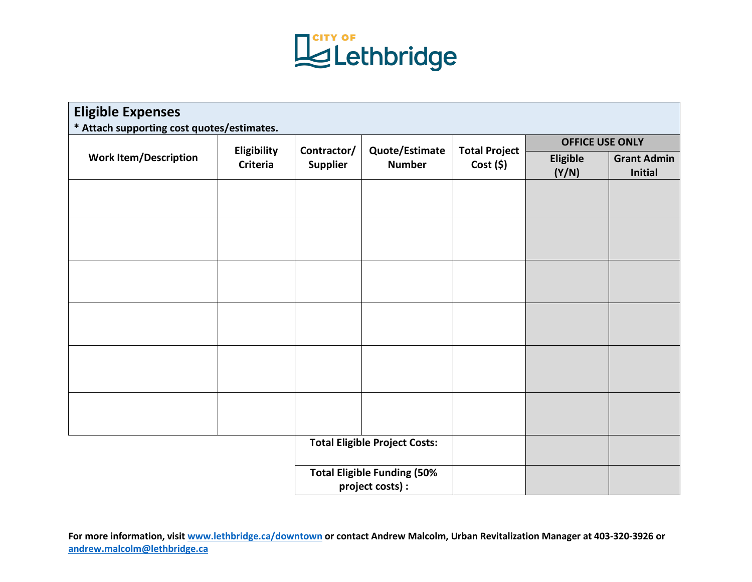

| <b>Eligible Expenses</b><br>* Attach supporting cost quotes/estimates. |                                |  |                                                                   |                                 |                        |                                      |
|------------------------------------------------------------------------|--------------------------------|--|-------------------------------------------------------------------|---------------------------------|------------------------|--------------------------------------|
| <b>Work Item/Description</b>                                           | Eligibility<br><b>Criteria</b> |  | Contractor/<br>Quote/Estimate<br><b>Supplier</b><br><b>Number</b> | <b>Total Project</b><br>Cost(5) | <b>OFFICE USE ONLY</b> |                                      |
|                                                                        |                                |  |                                                                   |                                 | Eligible<br>(Y/N)      | <b>Grant Admin</b><br><b>Initial</b> |
|                                                                        |                                |  |                                                                   |                                 |                        |                                      |
|                                                                        |                                |  |                                                                   |                                 |                        |                                      |
|                                                                        |                                |  |                                                                   |                                 |                        |                                      |
|                                                                        |                                |  |                                                                   |                                 |                        |                                      |
|                                                                        |                                |  |                                                                   |                                 |                        |                                      |
|                                                                        |                                |  |                                                                   |                                 |                        |                                      |
|                                                                        |                                |  |                                                                   |                                 |                        |                                      |
| <b>Total Eligible Project Costs:</b>                                   |                                |  |                                                                   |                                 |                        |                                      |
|                                                                        |                                |  | <b>Total Eligible Funding (50%</b><br>project costs) :            |                                 |                        |                                      |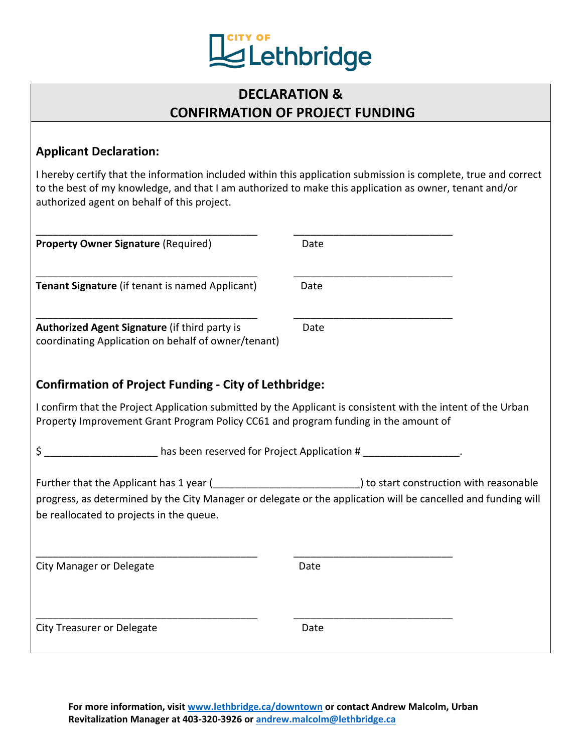

## **DECLARATION & CONFIRMATION OF PROJECT FUNDING**

### **Applicant Declaration:**

I hereby certify that the information included within this application submission is complete, true and correct to the best of my knowledge, and that I am authorized to make this application as owner, tenant and/or authorized agent on behalf of this project.

| <b>Property Owner Signature (Required)</b>                                                                                                                                                          | Date                                                                                                          |  |  |
|-----------------------------------------------------------------------------------------------------------------------------------------------------------------------------------------------------|---------------------------------------------------------------------------------------------------------------|--|--|
| Tenant Signature (if tenant is named Applicant)                                                                                                                                                     | Date                                                                                                          |  |  |
| Authorized Agent Signature (if third party is<br>coordinating Application on behalf of owner/tenant)                                                                                                | Date                                                                                                          |  |  |
| <b>Confirmation of Project Funding - City of Lethbridge:</b>                                                                                                                                        |                                                                                                               |  |  |
| I confirm that the Project Application submitted by the Applicant is consistent with the intent of the Urban<br>Property Improvement Grant Program Policy CC61 and program funding in the amount of |                                                                                                               |  |  |
|                                                                                                                                                                                                     | \$ _________________________has been reserved for Project Application # __________________.                   |  |  |
| Further that the Applicant has 1 year ( [[Corean Process in terms] to start construction with reasonable<br>be reallocated to projects in the queue.                                                | progress, as determined by the City Manager or delegate or the application will be cancelled and funding will |  |  |
| <b>City Manager or Delegate</b>                                                                                                                                                                     | Date                                                                                                          |  |  |
| <b>City Treasurer or Delegate</b>                                                                                                                                                                   | Date                                                                                                          |  |  |